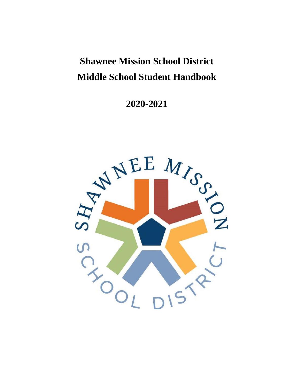# **Shawnee Mission School District Middle School Student Handbook**

**2020-2021**

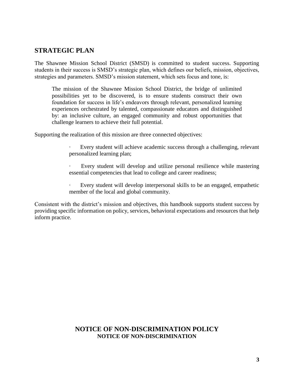# **STRATEGIC PLAN**

The Shawnee Mission School District (SMSD) is committed to student success. Supporting students in their success is SMSD's strategic plan, which defines our beliefs, mission, objectives, strategies and parameters. SMSD's mission statement, which sets focus and tone, is:

The mission of the Shawnee Mission School District, the bridge of unlimited possibilities yet to be discovered, is to ensure students construct their own foundation for success in life's endeavors through relevant, personalized learning experiences orchestrated by talented, compassionate educators and distinguished by: an inclusive culture, an engaged community and robust opportunities that challenge learners to achieve their full potential.

Supporting the realization of this mission are three connected objectives:

Every student will achieve academic success through a challenging, relevant personalized learning plan;

Every student will develop and utilize personal resilience while mastering essential competencies that lead to college and career readiness;

Every student will develop interpersonal skills to be an engaged, empathetic member of the local and global community.

Consistent with the district's mission and objectives, this handbook supports student success by providing specific information on policy, services, behavioral expectations and resources that help inform practice.

# **NOTICE OF NON-DISCRIMINATION POLICY NOTICE OF NON-DISCRIMINATION**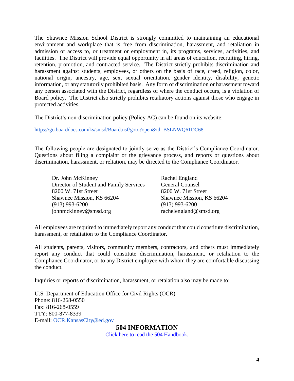The Shawnee Mission School District is strongly committed to maintaining an educational environment and workplace that is free from discrimination, harassment, and retaliation in admission or access to, or treatment or employment in, its programs, services, activities, and facilities. The District will provide equal opportunity in all areas of education, recruiting, hiring, retention, promotion, and contracted service. The District strictly prohibits discrimination and harassment against students, employees, or others on the basis of race, creed, religion, color, national origin, ancestry, age, sex, sexual orientation, gender identity, disability, genetic information, or any statutorily prohibited basis. Any form of discrimination or harassment toward any person associated with the District, regardless of where the conduct occurs, is a violation of Board policy. The District also strictly prohibits retaliatory actions against those who engage in protected activities.

The District's non-discrimination policy (Policy AC) can be found on its website:

<https://go.boarddocs.com/ks/smsd/Board.nsf/goto?open&id=BSLNWQ61DC68>

The following people are designated to jointly serve as the District's Compliance Coordinator. Questions about filing a complaint or the grievance process, and reports or questions about discrimination, harassment, or reltation, may be directed to the Compliance Coordinator.

Dr. John McKinney Director of Student and Family Services 8200 W. 71st Street Shawnee Mission, KS 66204 (913) 993-6200 johnmckinney@smsd.org

Rachel England General Counsel 8200 W. 71st Street Shawnee Mission, KS 66204 (913) 993-6200 rachelengland@smsd.org

All employees are required to immediately report any conduct that could constitute discrimination, harassment, or retaliation to the Compliance Coordinator.

All students, parents, visitors, community members, contractors, and others must immediately report any conduct that could constitute discrimination, harassment, or retaliation to the Compliance Coordinator, or to any District employee with whom they are comfortable discussing the conduct.

Inquiries or reports of discrimination, harassment, or retalation also may be made to:

U.S. Department of Education Office for Civil Rights (OCR) Phone: 816-268-0550 Fax: 816-268-0559 TTY: 800-877-8339 E-mail: [OCR.KansasCity@ed.gov](mailto:OCR.KansasCity@ed.gov)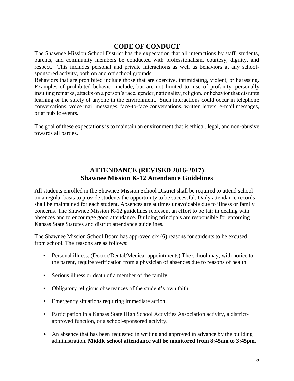# **CODE OF CONDUCT**

The Shawnee Mission School District has the expectation that all interactions by staff, students, parents, and community members be conducted with professionalism, courtesy, dignity, and respect. This includes personal and private interactions as well as behaviors at any schoolsponsored activity, both on and off school grounds.

Behaviors that are prohibited include those that are coercive, intimidating, violent, or harassing. Examples of prohibited behavior include, but are not limited to, use of profanity, personally insulting remarks, attacks on a person's race, gender, nationality, religion, or behavior that disrupts learning or the safety of anyone in the environment. Such interactions could occur in telephone conversations, voice mail messages, face-to-face conversations, written letters, e-mail messages, or at public events.

The goal of these expectations is to maintain an environment that is ethical, legal, and non-abusive towards all parties.

# **ATTENDANCE (REVISED 2016-2017) Shawnee Mission K-12 Attendance Guidelines**

All students enrolled in the Shawnee Mission School District shall be required to attend school on a regular basis to provide students the opportunity to be successful. Daily attendance records shall be maintained for each student. Absences are at times unavoidable due to illness or family concerns. The Shawnee Mission K-12 guidelines represent an effort to be fair in dealing with absences and to encourage good attendance. Building principals are responsible for enforcing Kansas State Statutes and district attendance guidelines.

The Shawnee Mission School Board has approved six (6) reasons for students to be excused from school. The reasons are as follows:

- Personal illness. (Doctor/Dental/Medical appointments) The school may, with notice to the parent, require verification from a physician of absences due to reasons of health.
- Serious illness or death of a member of the family.
- Obligatory religious observances of the student's own faith.
- Emergency situations requiring immediate action.
- Participation in a Kansas State High School Activities Association activity, a districtapproved function, or a school-sponsored activity.
- An absence that has been requested in writing and approved in advance by the building administration. **Middle school attendance will be monitored from 8:45am to 3:45pm.**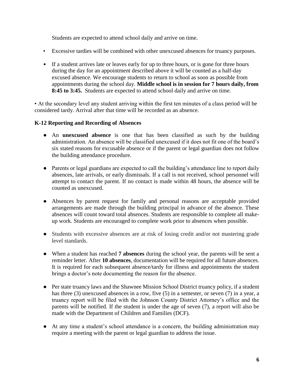Students are expected to attend school daily and arrive on time.

- Excessive tardies will be combined with other unexcused absences for truancy purposes.
- If a student arrives late or leaves early for up to three hours, or is gone for three hours during the day for an appointment described above it will be counted as a half-day excused absence. We encourage students to return to school as soon as possible from appointments during the school day. **Middle school is in session for 7 hours daily, from 8:45 to 3:45.** Students are expected to attend school daily and arrive on time.

• At the secondary level any student arriving within the first ten minutes of a class period will be considered tardy. Arrival after that time will be recorded as an absence.

#### **K-12 Reporting and Recording of Absences**

- An **unexcused absence** is one that has been classified as such by the building administration. An absence will be classified unexcused if it does not fit one of the board's six stated reasons for excusable absence or if the parent or legal guardian does not follow the building attendance procedure.
- Parents or legal guardians are expected to call the building's attendance line to report daily absences, late arrivals, or early dismissals. If a call is not received, school personnel will attempt to contact the parent. If no contact is made within 48 hours, the absence will be counted as unexcused.
- Absences by parent request for family and personal reasons are acceptable provided arrangements are made through the building principal in advance of the absence. These absences will count toward total absences. Students are responsible to complete all makeup work. Students are encouraged to complete work prior to absences when possible.
- Students with excessive absences are at risk of losing credit and/or not mastering grade level standards.
- When a student has reached **7 absences** during the school year, the parents will be sent a reminder letter. After **10 absences**, documentation will be required for all future absences. It is required for each subsequent absence/tardy for illness and appointments the student brings a doctor's note documenting the reason for the absence.
- Per state truancy laws and the Shawnee Mission School District truancy policy, if a student has three (3) unexcused absences in a row, five (5) in a semester, or seven (7) in a year, a truancy report will be filed with the Johnson County District Attorney's office and the parents will be notified. If the student is under the age of seven (7), a report will also be made with the Department of Children and Families (DCF).
- At any time a student's school attendance is a concern, the building administration may require a meeting with the parent or legal guardian to address the issue.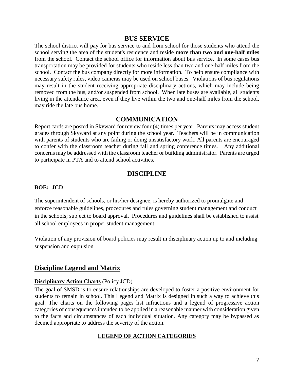#### **BUS SERVICE**

The school district will pay for bus service to and from school for those students who attend the school serving the area of the student's residence and reside **more than two and one-half miles** from the school. Contact the school office for information about bus service. In some cases bus transportation may be provided for students who reside less than two and one-half miles from the school. Contact the bus company directly for more information. To help ensure compliance with necessary safety rules, video cameras may be used on school buses. Violations of bus regulations may result in the student receiving appropriate disciplinary actions, which may include being removed from the bus, and/or suspended from school. When late buses are available, all students living in the attendance area, even if they live within the two and one-half miles from the school, may ride the late bus home.

## **COMMUNICATION**

Report cards are posted in Skyward for review four (4) times per year. Parents may access student grades through Skyward at any point during the school year. Teachers will be in communication with parents of students who are failing or doing unsatisfactory work. All parents are encouraged to confer with the classroom teacher during fall and spring conference times. Any additional concerns may be addressed with the classroom teacher or building administrator. Parents are urged to participate in PTA and to attend school activities.

# **DISCIPLINE**

#### **BOE: JCD**

The superintendent of schools, or his/her designee, is hereby authorized to promulgate and enforce reasonable guidelines, procedures and rules governing student management and conduct in the schools; subject to board approval. Procedures and guidelines shall be established to assist all school employees in proper student management.

Violation of any provision of board policies may result in disciplinary action up to and including suspension and expulsion.

# **Discipline Legend and Matrix**

#### **Disciplinary Action Charts** (Policy JCD)

The goal of SMSD is to ensure relationships are developed to foster a positive environment for students to remain in school. This Legend and Matrix is designed in such a way to achieve this goal. The charts on the following pages list infractions and a legend of progressive action categories of consequences intended to be applied in a reasonable manner with consideration given to the facts and circumstances of each individual situation. Any category may be bypassed as deemed appropriate to address the severity of the action.

#### **LEGEND OF ACTION CATEGORIES**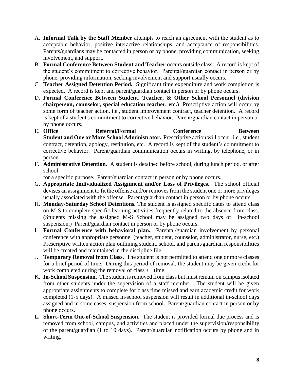- A. **Informal Talk by the Staff Member** attempts to reach an agreement with the student as to acceptable behavior, positive interactive relationships, and acceptance of responsibilities. Parents/guardians may be contacted in person or by phone, providing communication, seeking involvement, and support.
- B. **Formal Conference Between Student and Teacher** occurs outside class. A record is kept of the student's commitment to corrective behavior. Parental/guardian contact in person or by phone, providing information, seeking involvement and support usually occurs.
- C. **Teacher Assigned Detention Period.** Significant time expenditure and work completion is expected. A record is kept and parent/guardian contact in person or by phone occurs.
- D. **Formal Conference Between Student, Teacher, & Other School Personnel (division chairperson, counselor, special education teacher, etc.)** Prescriptive action will occur by some form of teacher action, i.e., student improvement contract, teacher detention. A record is kept of a student's commitment to corrective behavior. Parent/guardian contact in person or by phone occurs.
- E. **Office Referral/Formal Conference Between Student and One or More School Administrator.** Prescriptive action will occur, i.e., student contract, detention, apology, restitution, etc. A record is kept of the student's commitment to corrective behavior. Parent/guardian communication occurs in writing, by telephone, or in person.
- F. **Administrative Detention.** A student is detained before school, during lunch period, or after school

for a specific purpose. Parent/guardian contact in person or by phone occurs.

- G. **Appropriate Individualized Assignment and/or Loss of Privileges.** The school official devises an assignment to fit the offense and/or removes from the student one or more privileges usually associated with the offense. Parent/guardian contact in person or by phone occurs.
- H. **Monday-Saturday School Detentions.** The student is assigned specific dates to attend class on M-S to complete specific learning activities frequently related to the absence from class. (Students missing the assigned M-S School may be assigned two days of in-school suspension.) Parent/guardian contact in person or by phone occurs.
- I. **Formal Conference with behavioral plan.** Parental/guardian involvement by personal conference with appropriate personnel (teacher, student, counselor, administrator, nurse, etc.) Prescriptive written action plan outlining student, school, and parent/guardian responsibilities will be created and maintained in the discipline file.
- J. **Temporary Removal from Class.** The student is not permitted to attend one or more classes for a brief period of time. During this period of removal, the student may be given credit for work completed during the removal of class  $++$  time.
- K. **In-School Suspension**. The student is removed from class but must remain on campus isolated from other students under the supervision of a staff member. The student will be given appropriate assignments to complete for class time missed and earn academic credit for work completed (1-5 days). A missed in-school suspension will result in additional in-school days assigned and in some cases, suspension from school. Parent/guardian contact in person or by phone occurs.
- L. **Short-Term Out-of-School Suspension.** The student is provided formal due process and is removed from school, campus, and activities and placed under the supervision/responsibility of the parent/guardian (1 to 10 days). Parent/guardian notification occurs by phone and in writing.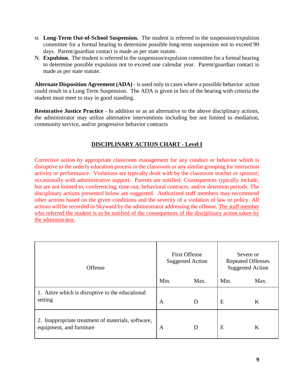- M. **Long-Term Out-of-School Suspension.** The student is referred to the suspension/expulsion committee for a formal hearing to determine possible long-term suspension not to exceed 90 days. Parent/guardian contact is made as per state statute.
- N. **Expulsion.** The student is referred to the suspension/expulsion committee for a formal hearing to determine possible expulsion not to exceed one calendar year. Parent/guardian contact is made as per state statute.

**Alternate Disposition Agreement (ADA)** - is used only in cases where a possible behavior action could result in a Long Term Suspension. The ADA is given in lieu of the hearing with criteria the student must meet to stay in good standing.

**Restorative Justice Practice** - In addition or as an alternative to the above disciplinary actions, the administrator may utilize alternative interventions including but not limited to mediation, community service, and/or progressive behavior contracts

# **DISCIPLINARY ACTION CHART - Level I**

Corrective action by appropriate classroom management for any conduct or behavior which is disruptive to the orderly education process in the classroom or any similar grouping for instruction activity or performance. Violations are typically dealt with by the classroom teacher or sponsor; occasionally with administrative support. Parents are notified. Consequences typically include, but are not limited to, conferencing, time-out, behavioral contracts, and/or detention periods. The disciplinary actions presented below are suggested. Authorized staff members may recommend other actions based on the given conditions and the severity of a violation of law or policy. All actions will be recorded in Skyward by the administrator addressing the offense. The staff member who referred the student is to be notified of the consequences of the disciplinary action taken by the administrator.

| Offense                                                                        | <b>First Offense</b><br><b>Suggested Action</b> |      | Severe or<br><b>Repeated Offenses</b><br><b>Suggested Action</b> |      |
|--------------------------------------------------------------------------------|-------------------------------------------------|------|------------------------------------------------------------------|------|
|                                                                                | Min.                                            | Max. | Min.                                                             | Max. |
| 1. Attire which is disruptive to the educational<br>setting                    | A                                               | D    | E                                                                | K    |
| 2. Inappropriate treatment of materials, software,<br>equipment, and furniture | A                                               | D    | E                                                                | K    |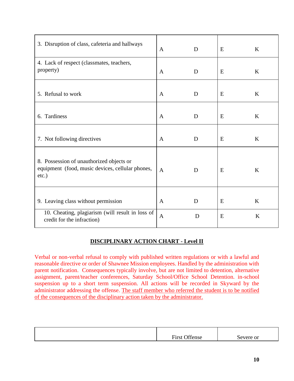| 3. Disruption of class, cafeteria and hallways                                                        | $\mathsf{A}$ | D | E | $\bf K$ |
|-------------------------------------------------------------------------------------------------------|--------------|---|---|---------|
| 4. Lack of respect (classmates, teachers,<br>property)                                                | A            | D | Ε | $\bf K$ |
| 5. Refusal to work                                                                                    | $\mathbf{A}$ | D | E | $\bf K$ |
| 6. Tardiness                                                                                          | $\mathbf{A}$ | D | E | $\bf K$ |
| 7. Not following directives                                                                           | A            | D | E | $\bf K$ |
| 8. Possession of unauthorized objects or<br>equipment (food, music devices, cellular phones,<br>etc.) | $\mathbf{A}$ | D | E | $\bf K$ |
| 9. Leaving class without permission                                                                   | $\mathbf{A}$ | D | E | $\bf K$ |
| 10. Cheating, plagiarism (will result in loss of<br>credit for the infraction)                        | $\mathbf{A}$ | D | E | $\bf K$ |

# **DISCIPLINARY ACTION CHART - Level II**

Verbal or non-verbal refusal to comply with published written regulations or with a lawful and reasonable directive or order of Shawnee Mission employees. Handled by the administration with parent notification. Consequences typically involve, but are not limited to detention, alternative assignment, parent/teacher conferences, Saturday School/Office School Detention. in-school suspension up to a short term suspension. All actions will be recorded in Skyward by the administrator addressing the offense. The staff member who referred the student is to be notified of the consequences of the disciplinary action taken by the administrator.

| $\sim$ 00<br>$\blacksquare$<br>ense<br>$H$ 1 $r$ $c$<br>. | Severe or |
|-----------------------------------------------------------|-----------|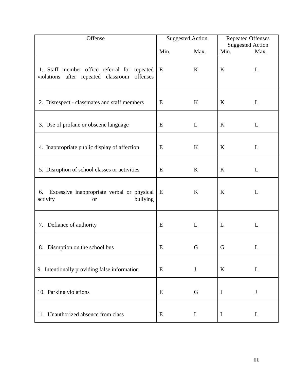| Offense                                                                                      | <b>Suggested Action</b> |             | <b>Repeated Offenses</b>        |      |
|----------------------------------------------------------------------------------------------|-------------------------|-------------|---------------------------------|------|
|                                                                                              | Min.                    | Max.        | <b>Suggested Action</b><br>Min. | Max. |
| 1. Staff member office referral for repeated<br>violations after repeated classroom offenses | E                       | $\bf K$     | $\boldsymbol{K}$                | L    |
| 2. Disrespect - classmates and staff members                                                 | E                       | $\bf K$     | K                               | L    |
| 3. Use of profane or obscene language                                                        | E                       | L           | $\bf K$                         | L    |
| 4. Inappropriate public display of affection                                                 | E                       | K           | $\bf K$                         | L    |
| 5. Disruption of school classes or activities                                                | E                       | K           | $\bf K$                         | L    |
| Excessive inappropriate verbal or physical<br>6.<br>bullying<br>activity<br><b>or</b>        | E                       | K           | K                               | L    |
| 7. Defiance of authority                                                                     | E                       | L           | L                               | L    |
| 8. Disruption on the school bus                                                              | E                       | G           | G                               | L    |
| 9. Intentionally providing false information                                                 | E                       | $\bf J$     | $\bf K$                         | L    |
| 10. Parking violations                                                                       | E                       | G           | $\bf{I}$                        | J    |
| 11. Unauthorized absence from class                                                          | E                       | $\mathbf I$ | $\mathbf I$                     | L    |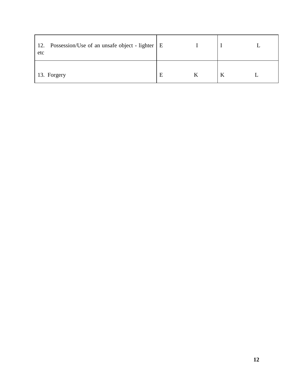| Possession/Use of an unsafe object - lighter   E<br>12.<br>etc |   |  |  |
|----------------------------------------------------------------|---|--|--|
| 13. Forgery                                                    | E |  |  |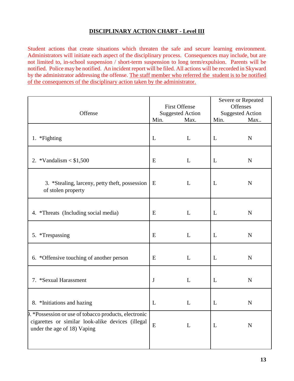## **DISCIPLINARY ACTION CHART - Level III**

Student actions that create situations which threaten the safe and secure learning environment. Administrators will initiate each aspect of the disciplinary process. Consequences may include, but are not limited to, in-school suspension / short-term suspension to long term/expulsion. Parents will be notified. Police may be notified. An incident report will be filed. All actions will be recorded in Skyward by the administrator addressing the offense. The staff member who referred the student is to be notified of the consequences of the disciplinary action taken by the administrator.

| Offense                                                                                                                                    | <b>First Offense</b><br><b>Suggested Action</b><br>Min.<br>Max. |   | Severe or Repeated<br><b>Offenses</b><br><b>Suggested Action</b><br>Min.<br>Max |             |
|--------------------------------------------------------------------------------------------------------------------------------------------|-----------------------------------------------------------------|---|---------------------------------------------------------------------------------|-------------|
| 1. *Fighting                                                                                                                               | L                                                               | L | L                                                                               | $\mathbf N$ |
| 2. *Vandalism $< $1,500$                                                                                                                   | E                                                               | L | L                                                                               | N           |
| 3. *Stealing, larceny, petty theft, possession  <br>of stolen property                                                                     | E                                                               | L | L                                                                               | N           |
| 4. *Threats (Including social media)                                                                                                       | E                                                               | L | L                                                                               | N           |
| 5. *Trespassing                                                                                                                            | E                                                               | L | L                                                                               | N           |
| 6. *Offensive touching of another person                                                                                                   | E                                                               | L | L                                                                               | $\mathbf N$ |
| 7. *Sexual Harassment                                                                                                                      | $\bf J$                                                         | L | L                                                                               | $\mathbf N$ |
| 8. *Initiations and hazing                                                                                                                 | L                                                               | L | L                                                                               | $\mathbf N$ |
| P. * Possession or use of tobacco products, electronic<br>cigarettes or similar look-alike devices (illegal<br>under the age of 18) Vaping | ${\bf E}$                                                       | L | $\mathbf{L}$                                                                    | $\mathbf N$ |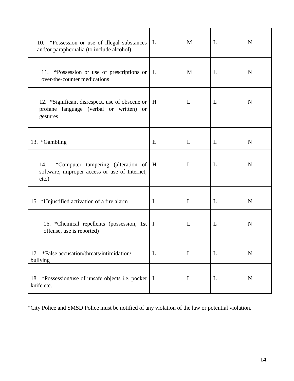| 10. *Possession or use of illegal substances<br>and/or paraphernalia (to include alcohol)              | L           | M | L | N           |
|--------------------------------------------------------------------------------------------------------|-------------|---|---|-------------|
| 11. *Possession or use of prescriptions or   L<br>over-the-counter medications                         |             | M | L | N           |
| 12. *Significant disrespect, use of obscene or<br>profane language (verbal or written) or<br>gestures  | H           | L | L | N           |
| 13. *Gambling                                                                                          | E           | L | L | $\mathbf N$ |
| *Computer tampering (alteration of<br>14.<br>software, improper access or use of Internet,<br>$etc.$ ) | H           | L | L | $\mathbf N$ |
| 15. *Unjustified activation of a fire alarm                                                            | $\mathbf I$ | L | L | N           |
| 16. *Chemical repellents (possession, 1st   I<br>offense, use is reported)                             |             | L | L | N           |
| *False accusation/threats/intimidation/<br>17<br>bullying                                              | L           | L | L | N           |
| 18. *Possession/use of unsafe objects i.e. pocket   I<br>knife etc.                                    |             | L | L | N           |

\*City Police and SMSD Police must be notified of any violation of the law or potential violation.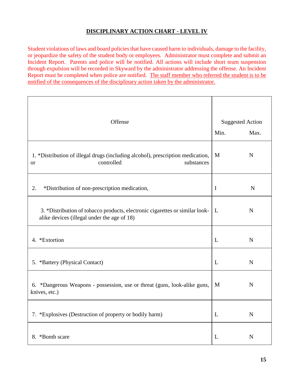## **DISCIPLINARY ACTION CHART - LEVEL IV**

Student violations of laws and board policies that have caused harm to individuals, damage to the facility, or jeopardize the safety of the student body or employees. Administrator must complete and submit an Incident Report. Parents and police will be notified. All actions will include short team suspension through expulsion will be recorded in Skyward by the administrator addressing the offense. An Incident Report must be completed when police are notified. The staff member who referred the student is to be notified of the consequences of the disciplinary action taken by the administrator.

| Offense                                                                                                                     | <b>Suggested Action</b> |             |
|-----------------------------------------------------------------------------------------------------------------------------|-------------------------|-------------|
|                                                                                                                             | Min.                    | Max.        |
| 1. *Distribution of illegal drugs (including alcohol), prescription medication,<br>controlled<br>substances<br><b>or</b>    | M                       | N           |
| 2.<br>*Distribution of non-prescription medication,                                                                         | $\mathbf I$             | $\mathbf N$ |
| 3. *Distribution of tobacco products, electronic cigarettes or similar look-<br>alike devices (illegal under the age of 18) | $\mathbf{L}$            | $\mathbf N$ |
| 4. *Extortion                                                                                                               | L                       | $\mathbf N$ |
| 5. *Battery (Physical Contact)                                                                                              | L                       | $\mathbf N$ |
| 6. *Dangerous Weapons - possession, use or threat (guns, look-alike guns,<br>knives, etc.)                                  | M                       | $\mathbf N$ |
| 7. *Explosives (Destruction of property or bodily harm)                                                                     | L                       | $\mathbf N$ |
| 8. *Bomb scare                                                                                                              | L                       | N           |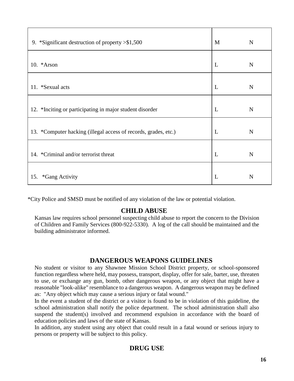| 9. *Significant destruction of property $> $1,500$              | M | N |
|-----------------------------------------------------------------|---|---|
| 10. * Arson                                                     | L | N |
| 11. *Sexual acts                                                | L | N |
| 12. *Inciting or participating in major student disorder        | L | N |
| 13. *Computer hacking (illegal access of records, grades, etc.) | L | N |
| 14. *Criminal and/or terrorist threat                           | L | N |
| <i>*Gang Activity</i><br>15.                                    | L | N |

\*City Police and SMSD must be notified of any violation of the law or potential violation.

# **CHILD ABUSE**

Kansas law requires school personnel suspecting child abuse to report the concern to the Division of Children and Family Services (800-922-5330). A log of the call should be maintained and the building administrator informed.

# **DANGEROUS WEAPONS GUIDELINES**

No student or visitor to any Shawnee Mission School District property, or school-sponsored function regardless where held, may possess, transport, display, offer for sale, barter, use, threaten to use, or exchange any gun, bomb, other dangerous weapon, or any object that might have a reasonable "look-alike" resemblance to a dangerous weapon. A dangerous weapon may be defined as: "Any object which may cause a serious injury or fatal wound."

In the event a student of the district or a visitor is found to be in violation of this guideline, the school administration shall notify the police department. The school administration shall also suspend the student(s) involved and recommend expulsion in accordance with the board of education policies and laws of the state of Kansas.

In addition, any student using any object that could result in a fatal wound or serious injury to persons or property will be subject to this policy.

# **DRUG USE**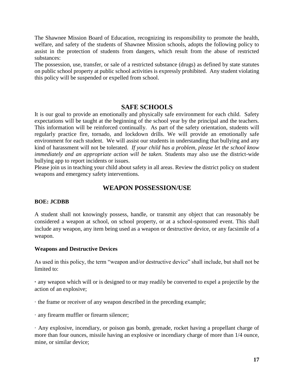The Shawnee Mission Board of Education, recognizing its responsibility to promote the health, welfare, and safety of the students of Shawnee Mission schools, adopts the following policy to assist in the protection of students from dangers, which result from the abuse of restricted substances:

The possession, use, transfer, or sale of a restricted substance (drugs) as defined by state statutes on public school property at public school activities is expressly prohibited. Any student violating this policy will be suspended or expelled from school.

#### **SAFE SCHOOLS**

It is our goal to provide an emotionally and physically safe environment for each child. Safety expectations will be taught at the beginning of the school year by the principal and the teachers. This information will be reinforced continually. As part of the safety orientation, students will regularly practice fire, tornado, and lockdown drills. We will provide an emotionally safe environment for each student. We will assist our students in understanding that bullying and any kind of harassment will not be tolerated. *If your child has a problem, please let the school know immediately and an appropriate action will be taken.* Students may also use the district-wide bullying app to report incidents or issues.

Please join us in teaching your child about safety in all areas. Review the district policy on student weapons and emergency safety interventions.

# **WEAPON POSSESSION/USE**

#### **BOE: JCDBB**

A student shall not knowingly possess, handle, or transmit any object that can reasonably be considered a weapon at school, on school property, or at a school-sponsored event. This shall include any weapon, any item being used as a weapon or destructive device, or any facsimile of a weapon.

#### **Weapons and Destructive Devices**

As used in this policy, the term "weapon and/or destructive device" shall include, but shall not be limited to:

**·** any weapon which will or is designed to or may readily be converted to expel a projectile by the action of an explosive;

· the frame or receiver of any weapon described in the preceding example;

· any firearm muffler or firearm silencer;

· Any explosive, incendiary, or poison gas bomb, grenade, rocket having a propellant charge of more than four ounces, missile having an explosive or incendiary charge of more than 1/4 ounce, mine, or similar device;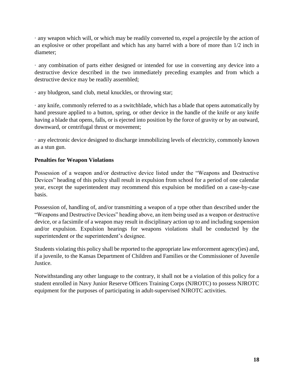· any weapon which will, or which may be readily converted to, expel a projectile by the action of an explosive or other propellant and which has any barrel with a bore of more than 1/2 inch in diameter;

· any combination of parts either designed or intended for use in converting any device into a destructive device described in the two immediately preceding examples and from which a destructive device may be readily assembled;

· any bludgeon, sand club, metal knuckles, or throwing star;

· any knife, commonly referred to as a switchblade, which has a blade that opens automatically by hand pressure applied to a button, spring, or other device in the handle of the knife or any knife having a blade that opens, falls, or is ejected into position by the force of gravity or by an outward, downward, or centrifugal thrust or movement;

· any electronic device designed to discharge immobilizing levels of electricity, commonly known as a stun gun.

## **Penalties for Weapon Violations**

Possession of a weapon and/or destructive device listed under the "Weapons and Destructive Devices" heading of this policy shall result in expulsion from school for a period of one calendar year, except the superintendent may recommend this expulsion be modified on a case-by-case basis.

Possession of, handling of, and/or transmitting a weapon of a type other than described under the "Weapons and Destructive Devices" heading above, an item being used as a weapon or destructive device, or a facsimile of a weapon may result in disciplinary action up to and including suspension and/or expulsion. Expulsion hearings for weapons violations shall be conducted by the superintendent or the superintendent's designee.

Students violating this policy shall be reported to the appropriate law enforcement agency(ies) and, if a juvenile, to the Kansas Department of Children and Families or the Commissioner of Juvenile Justice.

Notwithstanding any other language to the contrary, it shall not be a violation of this policy for a student enrolled in Navy Junior Reserve Officers Training Corps (NJROTC) to possess NJROTC equipment for the purposes of participating in adult-supervised NJROTC activities.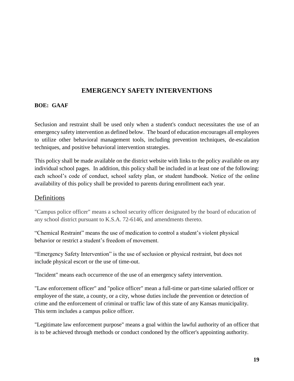# **EMERGENCY SAFETY INTERVENTIONS**

#### **BOE: GAAF**

Seclusion and restraint shall be used only when a student's conduct necessitates the use of an emergency safety intervention as defined below. The board of education encourages all employees to utilize other behavioral management tools, including prevention techniques, de-escalation techniques, and positive behavioral intervention strategies.

This policy shall be made available on the district website with links to the policy available on any individual school pages. In addition, this policy shall be included in at least one of the following: each school's code of conduct, school safety plan, or student handbook. Notice of the online availability of this policy shall be provided to parents during enrollment each year.

#### Definitions

"Campus police officer" means a school security officer designated by the board of education of any school district pursuant to K.S.A. 72-6146, and amendments thereto.

"Chemical Restraint" means the use of medication to control a student's violent physical behavior or restrict a student's freedom of movement.

"Emergency Safety Intervention" is the use of seclusion or physical restraint, but does not include physical escort or the use of time-out.

"Incident" means each occurrence of the use of an emergency safety intervention.

"Law enforcement officer" and "police officer" mean a full-time or part-time salaried officer or employee of the state, a county, or a city, whose duties include the prevention or detection of crime and the enforcement of criminal or traffic law of this state of any Kansas municipality. This term includes a campus police officer.

"Legitimate law enforcement purpose" means a goal within the lawful authority of an officer that is to be achieved through methods or conduct condoned by the officer's appointing authority.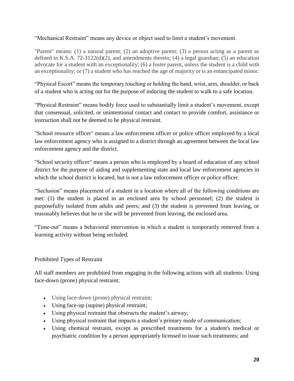"Mechanical Restraint" means any device or object used to limit a student's movement.

"Parent" means: (1) a natural parent; (2) an adoptive parent; (3) a person acting as a parent as defined in K.S.A. 72-3122(d)(2), and amendments thereto; (4) a legal guardian; (5) an education advocate for a student with an exceptionality; (6) a foster parent, unless the student is a child with an exceptionality; or (7) a student who has reached the age of majority or is an emancipated minor.

"Physical Escort" means the temporary touching or holding the hand, wrist, arm, shoulder, or back of a student who is acting out for the purpose of inducing the student to walk to a safe location.

"Physical Restraint" means bodily force used to substantially limit a student's movement, except that consensual, solicited, or unintentional contact and contact to provide comfort, assistance or instruction shall not be deemed to be physical restraint.

"School resource officer" means a law enforcement officer or police officer employed by a local law enforcement agency who is assigned to a district through an agreement between the local law enforcement agency and the district.

"School security officer" means a person who is employed by a board of education of any school district for the purpose of aiding and supplementing state and local law enforcement agencies in which the school district is located, but is not a law enforcement officer or police officer.

"Seclusion" means placement of a student in a location where all of the following conditions are met: (1) the student is placed in an enclosed area by school personnel; (2) the student is purposefully isolated from adults and peers; and (3) the student is prevented from leaving, or reasonably believes that he or she will be prevented from leaving, the enclosed area.

"Time-out" means a behavioral intervention in which a student is temporarily removed from a learning activity without being secluded.

# Prohibited Types of Restraint

All staff members are prohibited from engaging in the following actions with all students: Using face-down (prone) physical restraint;

- Using face-down (prone) physical restraint;
- Using face-up (supine) physical restraint;
- Using physical restraint that obstructs the student's airway;
- Using physical restraint that impacts a student's primary mode of communication;
- Using chemical restraint, except as prescribed treatments for a student's medical or psychiatric condition by a person appropriately licensed to issue such treatments; and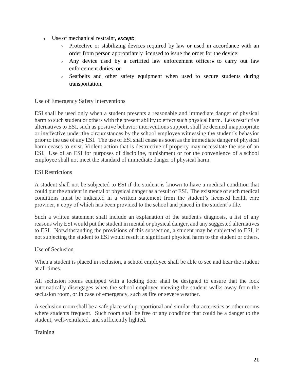- Use of mechanical restraint, *except*:
	- Protective or stabilizing devices required by law or used in accordance with an order from person appropriately licensed to issue the order for the device;
	- Any device used by a certified law enforcement officers to carry out law enforcement duties; or
	- Seatbelts and other safety equipment when used to secure students during transportation.

## Use of Emergency Safety Interventions

ESI shall be used only when a student presents a reasonable and immediate danger of physical harm to such student or others with the present ability to effect such physical harm. Less restrictive alternatives to ESI, such as positive behavior interventions support, shall be deemed inappropriate or ineffective under the circumstances by the school employee witnessing the student's behavior prior to the use of any ESI. The use of ESI shall cease as soon as the immediate danger of physical harm ceases to exist. Violent action that is destructive of property may necessitate the use of an ESI. Use of an ESI for purposes of discipline, punishment or for the convenience of a school employee shall not meet the standard of immediate danger of physical harm.

#### ESI Restrictions

A student shall not be subjected to ESI if the student is known to have a medical condition that could put the student in mental or physical danger as a result of ESI. The existence of such medical conditions must be indicated in a written statement from the student's licensed health care provider, a copy of which has been provided to the school and placed in the student's file.

Such a written statement shall include an explanation of the student's diagnosis, a list of any reasons why ESI would put the student in mental or physical danger, and any suggested alternatives to ESI. Notwithstanding the provisions of this subsection, a student may be subjected to ESI, if not subjecting the student to ESI would result in significant physical harm to the student or others.

#### Use of Seclusion

When a student is placed in seclusion, a school employee shall be able to see and hear the student at all times.

All seclusion rooms equipped with a locking door shall be designed to ensure that the lock automatically disengages when the school employee viewing the student walks away from the seclusion room, or in case of emergency, such as fire or severe weather.

A seclusion room shall be a safe place with proportional and similar characteristics as other rooms where students frequent. Such room shall be free of any condition that could be a danger to the student, well-ventilated, and sufficiently lighted.

#### Training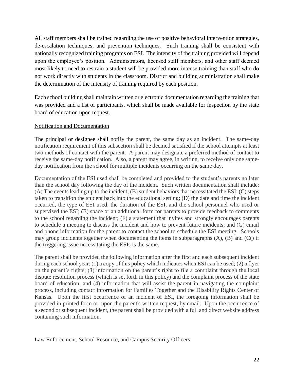All staff members shall be trained regarding the use of positive behavioral intervention strategies, de-escalation techniques, and prevention techniques. Such training shall be consistent with nationally recognized training programs on ESI. The intensity of the training provided will depend upon the employee's position. Administrators, licensed staff members, and other staff deemed most likely to need to restrain a student will be provided more intense training than staff who do not work directly with students in the classroom. District and building administration shall make the determination of the intensity of training required by each position.

Each school building shall maintain written or electronic documentation regarding the training that was provided and a list of participants, which shall be made available for inspection by the state board of education upon request.

#### Notification and Documentation

The principal or designee shall notify the parent, the same day as an incident. The same-day notification requirement of this subsection shall be deemed satisfied if the school attempts at least two methods of contact with the parent. A parent may designate a preferred method of contact to receive the same-day notification. Also, a parent may agree, in writing, to receive only one sameday notification from the school for multiple incidents occurring on the same day.

Documentation of the ESI used shall be completed and provided to the student's parents no later than the school day following the day of the incident. Such written documentation shall include: (A) The events leading up to the incident; (B) student behaviors that necessitated the ESI; (C) steps taken to transition the student back into the educational setting; (D) the date and time the incident occurred, the type of ESI used, the duration of the ESI, and the school personnel who used or supervised the ESI; (E) space or an additional form for parents to provide feedback to comments to the school regarding the incident; (F) a statement that invites and strongly encourages parents to schedule a meeting to discuss the incident and how to prevent future incidents; and (G) email and phone information for the parent to contact the school to schedule the ESI meeting. Schools may group incidents together when documenting the items in subparagraphs (A), (B) and (C() if the triggering issue necessitating the ESIs is the same.

The parent shall be provided the following information after the first and each subsequent incident during each school year: (1) a copy of this policy which indicates when ESI can be used; (2) a flyer on the parent's rights; (3) information on the parent's right to file a complaint through the local dispute resolution process (which is set forth in this policy) and the complaint process of the state board of education; and (4) information that will assist the parent in navigating the complaint process, including contact information for Families Together and the Disability Rights Center of Kansas. Upon the first occurrence of an incident of ESI, the foregoing information shall be provided in printed form or, upon the parent's written request, by email. Upon the occurrence of a second or subsequent incident, the parent shall be provided with a full and direct website address containing such information.

Law Enforcement, School Resource, and Campus Security Officers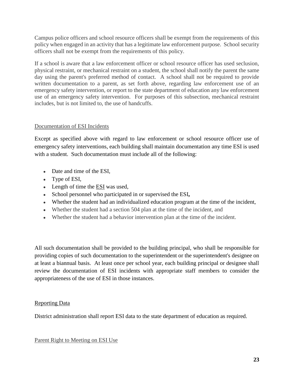Campus police officers and school resource officers shall be exempt from the requirements of this policy when engaged in an activity that has a legitimate law enforcement purpose. School security officers shall not be exempt from the requirements of this policy.

If a school is aware that a law enforcement officer or school resource officer has used seclusion, physical restraint, or mechanical restraint on a student, the school shall notify the parent the same day using the parent's preferred method of contact. A school shall not be required to provide written documentation to a parent, as set forth above, regarding law enforcement use of an emergency safety intervention, or report to the state department of education any law enforcement use of an emergency safety intervention. For purposes of this subsection, mechanical restraint includes, but is not limited to, the use of handcuffs.

## Documentation of ESI Incidents

Except as specified above with regard to law enforcement or school resource officer use of emergency safety interventions, each building shall maintain documentation any time ESI is used with a student. Such documentation must include all of the following:

- Date and time of the ESI,
- Type of ESI,
- Length of time the ESI was used,
- School personnel who participated in or supervised the ESI**,**
- Whether the student had an individualized education program at the time of the incident,
- Whether the student had a section 504 plan at the time of the incident, and
- Whether the student had a behavior intervention plan at the time of the incident.

All such documentation shall be provided to the building principal, who shall be responsible for providing copies of such documentation to the superintendent or the superintendent's designee on at least a biannual basis. At least once per school year, each building principal or designee shall review the documentation of ESI incidents with appropriate staff members to consider the appropriateness of the use of ESI in those instances.

# Reporting Data

District administration shall report ESI data to the state department of education as required.

#### Parent Right to Meeting on ESI Use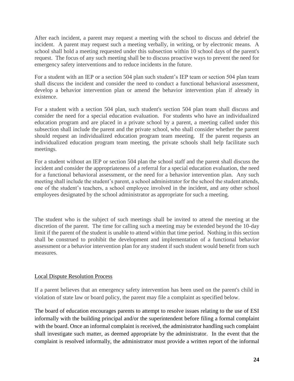After each incident, a parent may request a meeting with the school to discuss and debrief the incident. A parent may request such a meeting verbally, in writing, or by electronic means. A school shall hold a meeting requested under this subsection within 10 school days of the parent's request. The focus of any such meeting shall be to discuss proactive ways to prevent the need for emergency safety interventions and to reduce incidents in the future.

For a student with an IEP or a section 504 plan such student's IEP team or section 504 plan team shall discuss the incident and consider the need to conduct a functional behavioral assessment, develop a behavior intervention plan or amend the behavior intervention plan if already in existence.

For a student with a section 504 plan, such student's section 504 plan team shall discuss and consider the need for a special education evaluation. For students who have an individualized education program and are placed in a private school by a parent, a meeting called under this subsection shall include the parent and the private school, who shall consider whether the parent should request an individualized education program team meeting. If the parent requests an individualized education program team meeting, the private schools shall help facilitate such meetings.

For a student without an IEP or section 504 plan the school staff and the parent shall discuss the incident and consider the appropriateness of a referral for a special education evaluation, the need for a functional behavioral assessment, or the need for a behavior intervention plan. Any such meeting shall include the student's parent, a school administrator for the school the student attends, one of the student's teachers, a school employee involved in the incident, and any other school employees designated by the school administrator as appropriate for such a meeting.

The student who is the subject of such meetings shall be invited to attend the meeting at the discretion of the parent. The time for calling such a meeting may be extended beyond the 10-day limit if the parent of the student is unable to attend within that time period. Nothing in this section shall be construed to prohibit the development and implementation of a functional behavior assessment or a behavior intervention plan for any student if such student would benefit from such measures.

#### Local Dispute Resolution Process

If a parent believes that an emergency safety intervention has been used on the parent's child in violation of state law or board policy, the parent may file a complaint as specified below.

The board of education encourages parents to attempt to resolve issues relating to the use of ESI informally with the building principal and/or the superintendent before filing a formal complaint with the board. Once an informal complaint is received, the administrator handling such complaint shall investigate such matter, as deemed appropriate by the administrator. In the event that the complaint is resolved informally, the administrator must provide a written report of the informal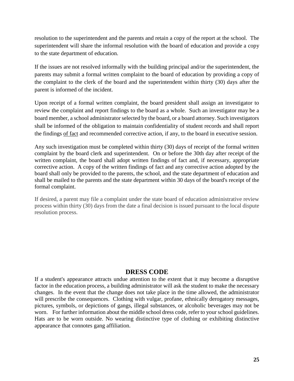resolution to the superintendent and the parents and retain a copy of the report at the school. The superintendent will share the informal resolution with the board of education and provide a copy to the state department of education.

If the issues are not resolved informally with the building principal and/or the superintendent, the parents may submit a formal written complaint to the board of education by providing a copy of the complaint to the clerk of the board and the superintendent within thirty (30) days after the parent is informed of the incident.

Upon receipt of a formal written complaint, the board president shall assign an investigator to review the complaint and report findings to the board as a whole. Such an investigator may be a board member, a school administrator selected by the board, or a board attorney. Such investigators shall be informed of the obligation to maintain confidentiality of student records and shall report the findings of fact and recommended corrective action, if any, to the board in executive session.

Any such investigation must be completed within thirty (30) days of receipt of the formal written complaint by the board clerk and superintendent. On or before the 30th day after receipt of the written complaint, the board shall adopt written findings of fact and, if necessary, appropriate corrective action. A copy of the written findings of fact and any corrective action adopted by the board shall only be provided to the parents, the school, and the state department of education and shall be mailed to the parents and the state department within 30 days of the board's receipt of the formal complaint.

If desired, a parent may file a complaint under the state board of education administrative review process within thirty (30) days from the date a final decision is issued pursuant to the local dispute resolution process.

# **DRESS CODE**

If a student's appearance attracts undue attention to the extent that it may become a disruptive factor in the education process, a building administrator will ask the student to make the necessary changes. In the event that the change does not take place in the time allowed, the administrator will prescribe the consequences. Clothing with vulgar, profane, ethnically derogatory messages, pictures, symbols, or depictions of gangs, illegal substances, or alcoholic beverages may not be worn. For further information about the middle school dress code, refer to your school guidelines. Hats are to be worn outside. No wearing distinctive type of clothing or exhibiting distinctive appearance that connotes gang affiliation.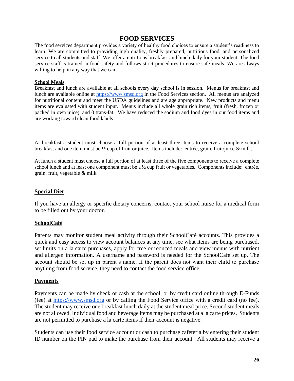# **FOOD SERVICES**

The food services department provides a variety of healthy food choices to ensure a student's readiness to learn. We are committed to providing high quality, freshly prepared, nutritious food, and personalized service to all students and staff. We offer a nutritious breakfast and lunch daily for your student. The food service staff is trained in food safety and follows strict procedures to ensure safe meals. We are always willing to help in any way that we can.

#### **School Meals**

Breakfast and lunch are available at all schools every day school is in session. Menus for breakfast and lunch are available online a[t](https://www.smsd.org/) [https://www.smsd.org](https://www.smsd.org/) in the Food Services section. All menus are analyzed for nutritional content and meet the USDA guidelines and are age appropriate. New products and menu items are evaluated with student input. Menus include all whole grain rich items, fruit (fresh, frozen or packed in own juice), and 0 trans-fat. We have reduced the sodium and food dyes in our food items and are working toward clean food labels.

At breakfast a student must choose a full portion of at least three items to receive a complete school breakfast and one item must be ½ cup of fruit or juice. Items include: entrée, grain, fruit/juice & milk.

At lunch a student must choose a full portion of at least three of the five components to receive a complete school lunch and at least one component must be a  $\frac{1}{2}$  cup fruit or vegetables. Components include: entrée, grain, fruit, vegetable & milk.

#### **Special Diet**

If you have an allergy or specific dietary concerns, contact your school nurse for a medical form to be filled out by your doctor.

#### **SchoolCafé**

Parents may monitor student meal activity through their SchoolCafé accounts. This provides a quick and easy access to view account balances at any time, see what items are being purchased, set limits on a la carte purchases, apply for free or reduced meals and view menus with nutrient and allergen information. A username and password is needed for the SchoolCafé set up. The account should be set up in parent's name. If the parent does not want their child to purchase anything from food service, they need to contact the food service office.

#### **Payments**

Payments can be made by check or cash at the school, or by credit card online through E-Funds (fee) at [https://www.smsd.org](https://www.smsd.org/) or by calling the Food Service office with a credit card (no fee). The student may receive one breakfast lunch daily at the student meal price. Second student meals are not allowed. Individual food and beverage items may be purchased at a la carte prices. Students are not permitted to purchase a la carte items if their account is negative.

Students can use their food service account or cash to purchase cafeteria by entering their student ID number on the PIN pad to make the purchase from their account. All students may receive a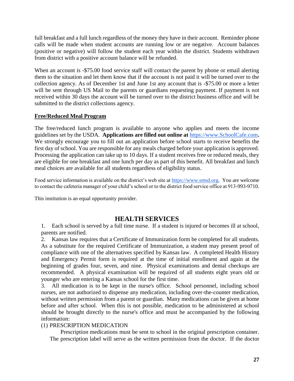full breakfast and a full lunch regardless of the money they have in their account. Reminder phone calls will be made when student accounts are running low or are negative. Account balances (positive or negative) will follow the student each year within the district. Students withdrawn from district with a positive account balance will be refunded.

When an account is -\$75.00 food service staff will contact the parent by phone or email alerting them to the situation and let them know that if the account is not paid it will be turned over to the collection agency. As of December 1st and June 1st any account that is -\$75.00 or more a letter will be sent through US Mail to the parents or guardians requesting payment. If payment is not received within 30 days the account will be turned over to the district business office and will be submitted to the district collections agency.

#### **Free/Reduced Meal Program**

The free/reduced lunch program is available to anyone who applies and meets the income guidelines set by the USDA. **Applications are filled out online a[t](https://www.schoolcafe.com/)** [https://www.SchoolCafe.com](https://www.schoolcafe.com/)**.**  We strongly encourage you to fill out an application before school starts to receive benefits the first day of school. You are responsible for any meals charged before your application is approved. Processing the application can take up to 10 days. If a student receives free or reduced meals, they are eligible for one breakfast and one lunch per day as part of this benefit. All breakfast and lunch meal choices are available for all students regardless of eligibility status.

Food service information is available on the district's web site at [https://www.smsd.org.](https://www.smsd.org/) You are welcome to contact the cafeteria manager of your child's school or to the district food service office at 913-993-9710.

This institution is an equal opportunity provider.

# **HEALTH SERVICES**

1. Each school is served by a full time nurse. If a student is injured or becomes ill at school, parents are notified.

2. Kansas law requires that a Certificate of Immunization form be completed for all students. As a substitute for the required Certificate of Immunization, a student may present proof of compliance with one of the alternatives specified by Kansas law. A completed Health History and Emergency Permit form is required at the time of initial enrollment and again at the beginning of grades four, seven, and nine. Physical examinations and dental checkups are recommended. A physical examination will be required of all students eight years old or younger who are entering a Kansas school for the first time.

3. All medication is to be kept in the nurse's office. School personnel, including school nurses, are not authorized to dispense any medication, including over-the-counter medication, without written permission from a parent or guardian. Many medications can be given at home before and after school. When this is not possible, medication to be administered at school should be brought directly to the nurse's office and must be accompanied by the following information:

#### (1) PRESCRIPTION MEDICATION

Prescription medications must be sent to school in the original prescription container. The prescription label will serve as the written permission from the doctor. If the doctor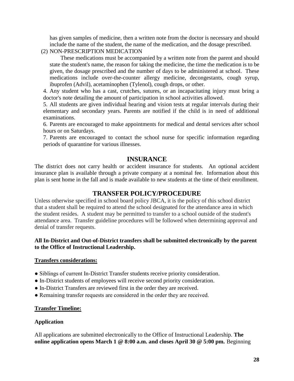has given samples of medicine, then a written note from the doctor is necessary and should include the name of the student, the name of the medication, and the dosage prescribed.

(2) NON-PRESCRIPTION MEDICATION

These medications must be accompanied by a written note from the parent and should state the student's name, the reason for taking the medicine, the time the medication is to be given, the dosage prescribed and the number of days to be administered at school. These medications include over-the-counter allergy medicine, decongestants, cough syrup, ibuprofen (Advil), acetaminophen (Tylenol), cough drops, or other.

4. Any student who has a cast, crutches, sutures, or an incapacitating injury must bring a doctor's note detailing the amount of participation in school activities allowed.

5. All students are given individual hearing and vision tests at regular intervals during their elementary and secondary years. Parents are notified if the child is in need of additional examinations.

6. Parents are encouraged to make appointments for medical and dental services after school hours or on Saturdays.

7. Parents are encouraged to contact the school nurse for specific information regarding periods of quarantine for various illnesses.

# **INSURANCE**

The district does not carry health or accident insurance for students. An optional accident insurance plan is available through a private company at a nominal fee. Information about this plan is sent home in the fall and is made available to new students at the time of their enrollment.

# **TRANSFER POLICY/PROCEDURE**

Unless otherwise specified in school board policy JBCA, it is the policy of this school district that a student shall be required to attend the school designated for the attendance area in which the student resides. A student may be permitted to transfer to a school outside of the student's attendance area. Transfer guideline procedures will be followed when determining approval and denial of transfer requests.

#### **All In-District and Out-of-District transfers shall be submitted electronically by the parent to the Office of Instructional Leadership.**

#### **Transfers considerations:**

- Siblings of current In-District Transfer students receive priority consideration.
- In-District students of employees will receive second priority consideration.
- In-District Transfers are reviewed first in the order they are received.
- Remaining transfer requests are considered in the order they are received.

#### **Transfer Timeline:**

#### **Application**

All applications are submitted electronically to the Office of Instructional Leadership. **The online application opens March 1 @ 8:00 a.m. and closes April 30 @ 5:00 pm.** Beginning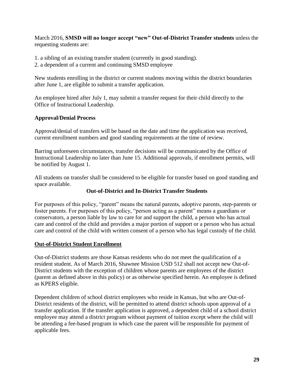March 2016, **SMSD will no longer accept "new" Out-of-District Transfer students** unless the requesting students are:

- 1. a sibling of an existing transfer student (currently in good standing).
- 2. a dependent of a current and continuing SMSD employee

New students enrolling in the district or current students moving within the district boundaries after June 1, are eligible to submit a transfer application.

An employee hired after July 1, may submit a transfer request for their child directly to the Office of Instructional Leadership.

# **Approval/Denial Process**

Approval/denial of transfers will be based on the date and time the application was received, current enrollment numbers and good standing requirements at the time of review.

Barring unforeseen circumstances, transfer decisions will be communicated by the Office of Instructional Leadership no later than June 15. Additional approvals, if enrollment permits, will be notified by August 1.

All students on transfer shall be considered to be eligible for transfer based on good standing and space available.

## **Out-of-District and In-District Transfer Students**

For purposes of this policy, "parent" means the natural parents, adoptive parents, step-parents or foster parents. For purposes of this policy, "person acting as a parent" means a guardians or conservators, a person liable by law to care for and support the child, a person who has actual care and control of the child and provides a major portion of support or a person who has actual care and control of the child with written consent of a person who has legal custody of the child.

#### **Out-of-District Student Enrollment**

Out-of-District students are those Kansas residents who do not meet the qualification of a resident student. As of March 2016, Shawnee Mission USD 512 shall not accept new Out-of-District students with the exception of children whose parents are employees of the district (parent as defined above in this policy) or as otherwise specified herein. An employee is defined as KPERS eligible.

Dependent children of school district employees who reside in Kansas, but who are Out-of-District residents of the district, will be permitted to attend district schools upon approval of a transfer application. If the transfer application is approved, a dependent child of a school district employee may attend a district program without payment of tuition except where the child will be attending a fee-based program in which case the parent will be responsible for payment of applicable fees.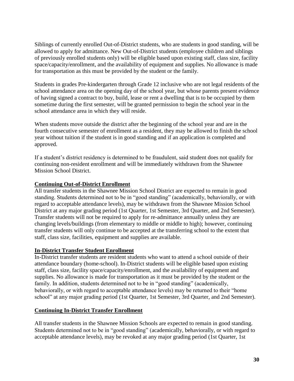Siblings of currently enrolled Out-of-District students, who are students in good standing, will be allowed to apply for admittance. New Out-of-District students (employee children and siblings of previously enrolled students only) will be eligible based upon existing staff, class size, facility space/capacity/enrollment, and the availability of equipment and supplies. No allowance is made for transportation as this must be provided by the student or the family.

Students in grades Pre-kindergarten through Grade 12 inclusive who are not legal residents of the school attendance area on the opening day of the school year, but whose parents present evidence of having signed a contract to buy, build, lease or rent a dwelling that is to be occupied by them sometime during the first semester, will be granted permission to begin the school year in the school attendance area in which they will reside.

When students move outside the district after the beginning of the school year and are in the fourth consecutive semester of enrollment as a resident, they may be allowed to finish the school year without tuition if the student is in good standing and if an application is completed and approved.

If a student's district residency is determined to be fraudulent, said student does not qualify for continuing non-resident enrollment and will be immediately withdrawn from the Shawnee Mission School District.

#### **Continuing Out-of-District Enrollment**

All transfer students in the Shawnee Mission School District are expected to remain in good standing. Students determined not to be in "good standing" (academically, behaviorally, or with regard to acceptable attendance levels), may be withdrawn from the Shawnee Mission School District at any major grading period (1st Quarter, 1st Semester, 3rd Quarter, and 2nd Semester). Transfer students will not be required to apply for re-admittance annually unless they are changing levels/buildings (from elementary to middle or middle to high); however, continuing transfer students will only continue to be accepted at the transferring school to the extent that staff, class size, facilities, equipment and supplies are available.

#### **In-District Transfer Student Enrollment**

In-District transfer students are resident students who want to attend a school outside of their attendance boundary (home-school). In-District students will be eligible based upon existing staff, class size, facility space/capacity/enrollment, and the availability of equipment and supplies. No allowance is made for transportation as it must be provided by the student or the family. In addition, students determined not to be in "good standing" (academically, behaviorally, or with regard to acceptable attendance levels) may be returned to their "home school" at any major grading period (1st Quarter, 1st Semester, 3rd Quarter, and 2nd Semester).

#### **Continuing In-District Transfer Enrollment**

All transfer students in the Shawnee Mission Schools are expected to remain in good standing. Students determined not to be in "good standing" (academically, behaviorally, or with regard to acceptable attendance levels), may be revoked at any major grading period (1st Quarter, 1st